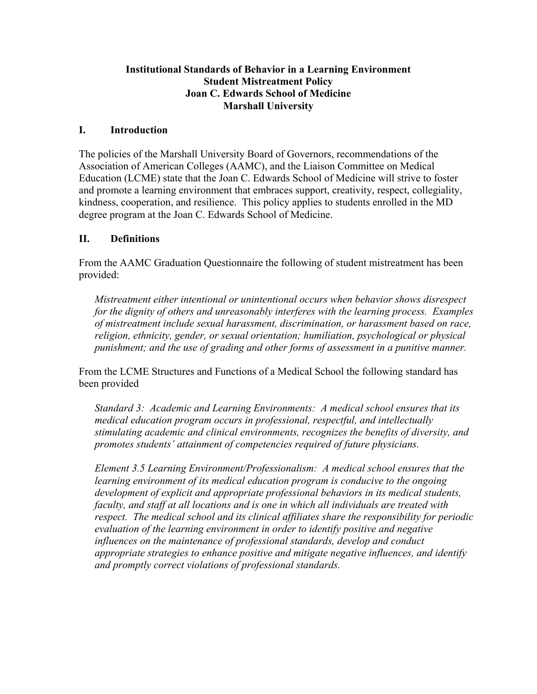#### **Institutional Standards of Behavior in a Learning Environment Student Mistreatment Policy Joan C. Edwards School of Medicine Marshall University**

### **I. Introduction**

The policies of the Marshall University Board of Governors, recommendations of the Association of American Colleges (AAMC), and the Liaison Committee on Medical Education (LCME) state that the Joan C. Edwards School of Medicine will strive to foster and promote a learning environment that embraces support, creativity, respect, collegiality, kindness, cooperation, and resilience. This policy applies to students enrolled in the MD degree program at the Joan C. Edwards School of Medicine.

### **II. Definitions**

From the AAMC Graduation Questionnaire the following of student mistreatment has been provided:

*Mistreatment either intentional or unintentional occurs when behavior shows disrespect for the dignity of others and unreasonably interferes with the learning process. Examples of mistreatment include sexual harassment, discrimination, or harassment based on race, religion, ethnicity, gender, or sexual orientation; humiliation, psychological or physical punishment; and the use of grading and other forms of assessment in a punitive manner.*

From the LCME Structures and Functions of a Medical School the following standard has been provided

*Standard 3: Academic and Learning Environments: A medical school ensures that its medical education program occurs in professional, respectful, and intellectually stimulating academic and clinical environments, recognizes the benefits of diversity, and promotes students' attainment of competencies required of future physicians.*

*Element 3.5 Learning Environment/Professionalism: A medical school ensures that the learning environment of its medical education program is conducive to the ongoing development of explicit and appropriate professional behaviors in its medical students, faculty, and staff at all locations and is one in which all individuals are treated with respect. The medical school and its clinical affiliates share the responsibility for periodic evaluation of the learning environment in order to identify positive and negative influences on the maintenance of professional standards, develop and conduct appropriate strategies to enhance positive and mitigate negative influences, and identify and promptly correct violations of professional standards.*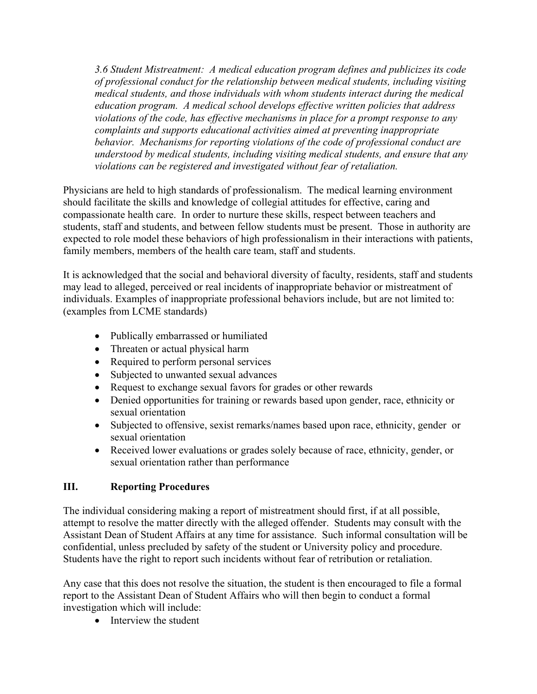*3.6 Student Mistreatment: A medical education program defines and publicizes its code of professional conduct for the relationship between medical students, including visiting medical students, and those individuals with whom students interact during the medical education program. A medical school develops effective written policies that address violations of the code, has effective mechanisms in place for a prompt response to any complaints and supports educational activities aimed at preventing inappropriate behavior. Mechanisms for reporting violations of the code of professional conduct are understood by medical students, including visiting medical students, and ensure that any violations can be registered and investigated without fear of retaliation.*

Physicians are held to high standards of professionalism. The medical learning environment should facilitate the skills and knowledge of collegial attitudes for effective, caring and compassionate health care. In order to nurture these skills, respect between teachers and students, staff and students, and between fellow students must be present. Those in authority are expected to role model these behaviors of high professionalism in their interactions with patients, family members, members of the health care team, staff and students.

It is acknowledged that the social and behavioral diversity of faculty, residents, staff and students may lead to alleged, perceived or real incidents of inappropriate behavior or mistreatment of individuals. Examples of inappropriate professional behaviors include, but are not limited to: (examples from LCME standards)

- Publically embarrassed or humiliated
- Threaten or actual physical harm
- Required to perform personal services
- Subjected to unwanted sexual advances
- Request to exchange sexual favors for grades or other rewards
- Denied opportunities for training or rewards based upon gender, race, ethnicity or sexual orientation
- Subjected to offensive, sexist remarks/names based upon race, ethnicity, gender or sexual orientation
- Received lower evaluations or grades solely because of race, ethnicity, gender, or sexual orientation rather than performance

# **III. Reporting Procedures**

The individual considering making a report of mistreatment should first, if at all possible, attempt to resolve the matter directly with the alleged offender. Students may consult with the Assistant Dean of Student Affairs at any time for assistance. Such informal consultation will be confidential, unless precluded by safety of the student or University policy and procedure. Students have the right to report such incidents without fear of retribution or retaliation.

Any case that this does not resolve the situation, the student is then encouraged to file a formal report to the Assistant Dean of Student Affairs who will then begin to conduct a formal investigation which will include:

• Interview the student